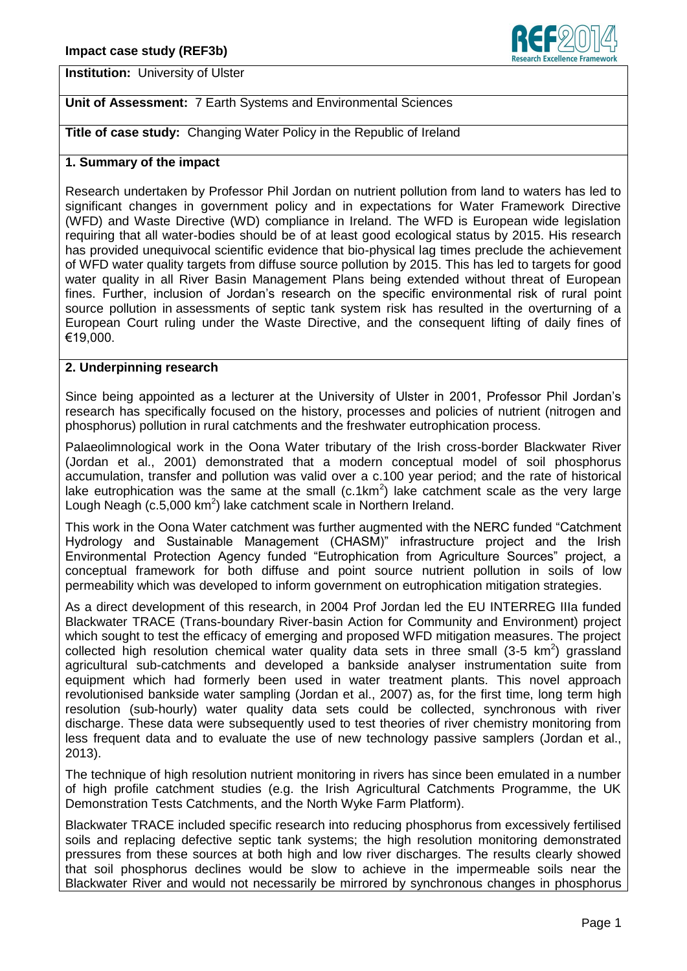

**Institution:** University of Ulster

# **Unit of Assessment:** 7 Earth Systems and Environmental Sciences

**Title of case study:** Changing Water Policy in the Republic of Ireland

## **1. Summary of the impact**

Research undertaken by Professor Phil Jordan on nutrient pollution from land to waters has led to significant changes in government policy and in expectations for Water Framework Directive (WFD) and Waste Directive (WD) compliance in Ireland. The WFD is European wide legislation requiring that all water-bodies should be of at least good ecological status by 2015. His research has provided unequivocal scientific evidence that bio-physical lag times preclude the achievement of WFD water quality targets from diffuse source pollution by 2015. This has led to targets for good water quality in all River Basin Management Plans being extended without threat of European fines. Further, inclusion of Jordan's research on the specific environmental risk of rural point source pollution in assessments of septic tank system risk has resulted in the overturning of a European Court ruling under the Waste Directive, and the consequent lifting of daily fines of €19,000.

## **2. Underpinning research**

Since being appointed as a lecturer at the University of Ulster in 2001, Professor Phil Jordan's research has specifically focused on the history, processes and policies of nutrient (nitrogen and phosphorus) pollution in rural catchments and the freshwater eutrophication process.

Palaeolimnological work in the Oona Water tributary of the Irish cross-border Blackwater River (Jordan et al., 2001) demonstrated that a modern conceptual model of soil phosphorus accumulation, transfer and pollution was valid over a c.100 year period; and the rate of historical lake eutrophication was the same at the small (c.1km<sup>2</sup>) lake catchment scale as the very large Lough Neagh (c.5,000  $km^2$ ) lake catchment scale in Northern Ireland.

This work in the Oona Water catchment was further augmented with the NERC funded "Catchment Hydrology and Sustainable Management (CHASM)" infrastructure project and the Irish Environmental Protection Agency funded "Eutrophication from Agriculture Sources" project, a conceptual framework for both diffuse and point source nutrient pollution in soils of low permeability which was developed to inform government on eutrophication mitigation strategies.

As a direct development of this research, in 2004 Prof Jordan led the EU INTERREG IIIa funded Blackwater TRACE (Trans-boundary River-basin Action for Community and Environment) project which sought to test the efficacy of emerging and proposed WFD mitigation measures. The project collected high resolution chemical water quality data sets in three small  $(3-5 \text{ km}^2)$  grassland agricultural sub-catchments and developed a bankside analyser instrumentation suite from equipment which had formerly been used in water treatment plants. This novel approach revolutionised bankside water sampling (Jordan et al., 2007) as, for the first time, long term high resolution (sub-hourly) water quality data sets could be collected, synchronous with river discharge. These data were subsequently used to test theories of river chemistry monitoring from less frequent data and to evaluate the use of new technology passive samplers (Jordan et al., 2013).

The technique of high resolution nutrient monitoring in rivers has since been emulated in a number of high profile catchment studies (e.g. the Irish Agricultural Catchments Programme, the UK Demonstration Tests Catchments, and the North Wyke Farm Platform).

Blackwater TRACE included specific research into reducing phosphorus from excessively fertilised soils and replacing defective septic tank systems; the high resolution monitoring demonstrated pressures from these sources at both high and low river discharges. The results clearly showed that soil phosphorus declines would be slow to achieve in the impermeable soils near the Blackwater River and would not necessarily be mirrored by synchronous changes in phosphorus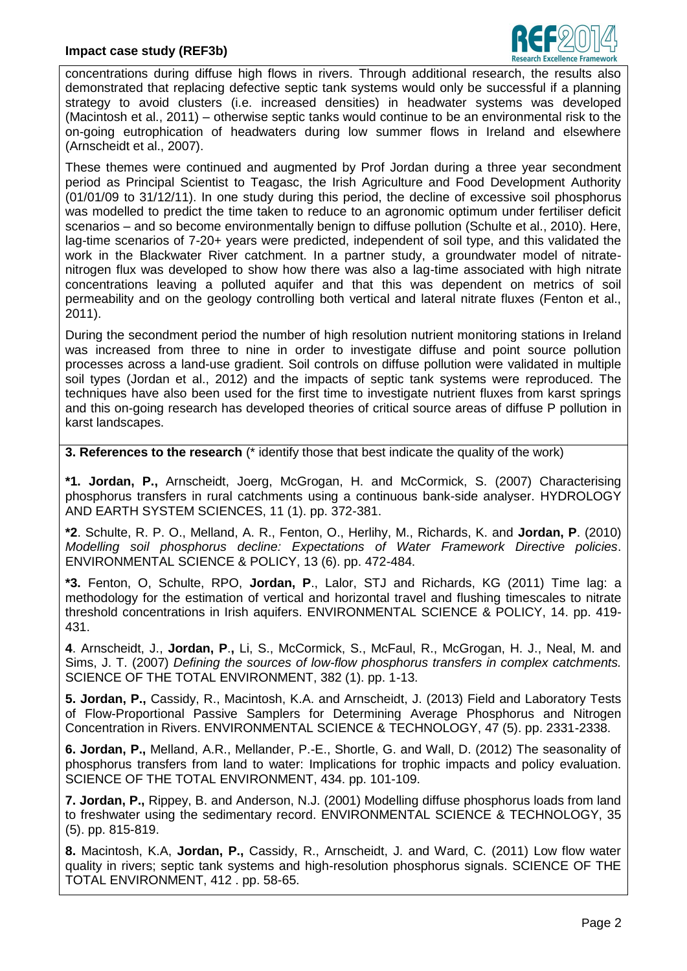

concentrations during diffuse high flows in rivers. Through additional research, the results also demonstrated that replacing defective septic tank systems would only be successful if a planning strategy to avoid clusters (i.e. increased densities) in headwater systems was developed (Macintosh et al., 2011) – otherwise septic tanks would continue to be an environmental risk to the on-going eutrophication of headwaters during low summer flows in Ireland and elsewhere (Arnscheidt et al., 2007).

These themes were continued and augmented by Prof Jordan during a three year secondment period as Principal Scientist to Teagasc, the Irish Agriculture and Food Development Authority (01/01/09 to 31/12/11). In one study during this period, the decline of excessive soil phosphorus was modelled to predict the time taken to reduce to an agronomic optimum under fertiliser deficit scenarios – and so become environmentally benign to diffuse pollution (Schulte et al., 2010). Here, lag-time scenarios of 7-20+ years were predicted, independent of soil type, and this validated the work in the Blackwater River catchment. In a partner study, a groundwater model of nitratenitrogen flux was developed to show how there was also a lag-time associated with high nitrate concentrations leaving a polluted aquifer and that this was dependent on metrics of soil permeability and on the geology controlling both vertical and lateral nitrate fluxes (Fenton et al., 2011).

During the secondment period the number of high resolution nutrient monitoring stations in Ireland was increased from three to nine in order to investigate diffuse and point source pollution processes across a land-use gradient. Soil controls on diffuse pollution were validated in multiple soil types (Jordan et al., 2012) and the impacts of septic tank systems were reproduced. The techniques have also been used for the first time to investigate nutrient fluxes from karst springs and this on-going research has developed theories of critical source areas of diffuse P pollution in karst landscapes.

**3. References to the research** (\* identify those that best indicate the quality of the work)

**\*1. Jordan, P.,** Arnscheidt, Joerg, McGrogan, H. and McCormick, S. (2007) Characterising phosphorus transfers in rural catchments using a continuous bank-side analyser. HYDROLOGY AND EARTH SYSTEM SCIENCES, 11 (1). pp. 372-381.

**\*2**. Schulte, R. P. O., Melland, A. R., Fenton, O., Herlihy, M., Richards, K. and **Jordan, P**. (2010) *Modelling soil phosphorus decline: Expectations of Water Framework Directive policies*. ENVIRONMENTAL SCIENCE & POLICY, 13 (6). pp. 472-484.

**\*3.** Fenton, O, Schulte, RPO, **Jordan, P**., Lalor, STJ and Richards, KG (2011) Time lag: a methodology for the estimation of vertical and horizontal travel and flushing timescales to nitrate threshold concentrations in Irish aquifers. ENVIRONMENTAL SCIENCE & POLICY, 14. pp. 419- 431.

**4**. Arnscheidt, J., **Jordan, P**.**,** Li, S., McCormick, S., McFaul, R., McGrogan, H. J., Neal, M. and Sims, J. T. (2007) *Defining the sources of low-flow phosphorus transfers in complex catchments.* SCIENCE OF THE TOTAL ENVIRONMENT, 382 (1). pp. 1-13.

**5. Jordan, P.,** Cassidy, R., Macintosh, K.A. and Arnscheidt, J. (2013) Field and Laboratory Tests of Flow-Proportional Passive Samplers for Determining Average Phosphorus and Nitrogen Concentration in Rivers. ENVIRONMENTAL SCIENCE & TECHNOLOGY, 47 (5). pp. 2331-2338.

**6. Jordan, P.,** Melland, A.R., Mellander, P.-E., Shortle, G. and Wall, D. (2012) The seasonality of phosphorus transfers from land to water: Implications for trophic impacts and policy evaluation. SCIENCE OF THE TOTAL ENVIRONMENT, 434. pp. 101-109.

**7. Jordan, P.,** Rippey, B. and Anderson, N.J. (2001) Modelling diffuse phosphorus loads from land to freshwater using the sedimentary record. ENVIRONMENTAL SCIENCE & TECHNOLOGY, 35 (5). pp. 815-819.

**8.** Macintosh, K.A, **Jordan, P.,** Cassidy, R., Arnscheidt, J. and Ward, C. (2011) Low flow water quality in rivers; septic tank systems and high-resolution phosphorus signals. SCIENCE OF THE TOTAL ENVIRONMENT, 412 . pp. 58-65.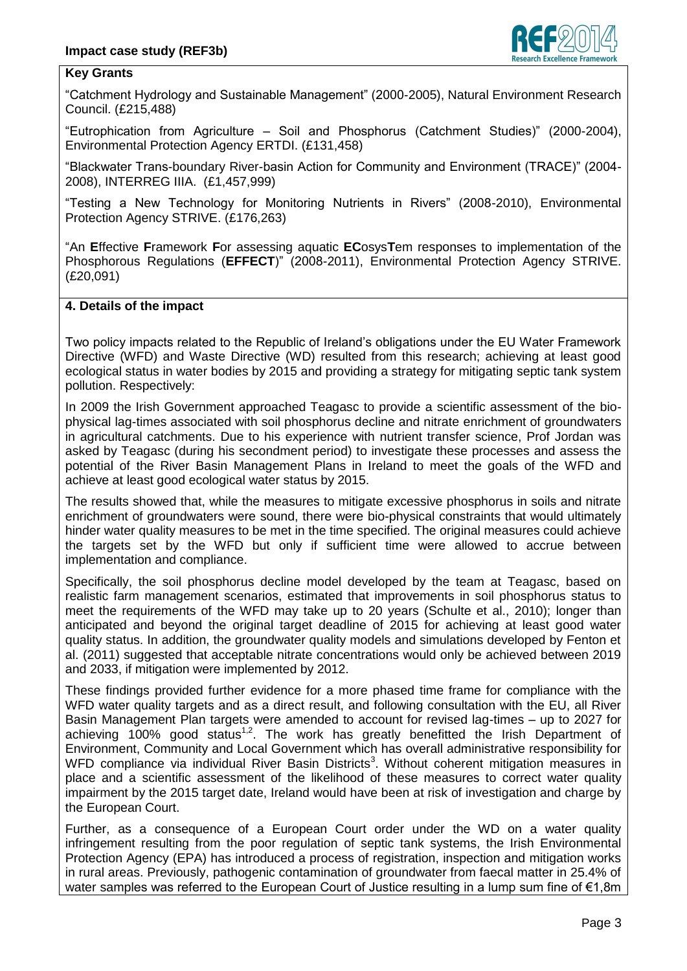

### **Key Grants**

"Catchment Hydrology and Sustainable Management" (2000-2005), Natural Environment Research Council. (£215,488)

"Eutrophication from Agriculture – Soil and Phosphorus (Catchment Studies)" (2000-2004), Environmental Protection Agency ERTDI. (£131,458)

"Blackwater Trans-boundary River-basin Action for Community and Environment (TRACE)" (2004- 2008), INTERREG IIIA. (£1,457,999)

"Testing a New Technology for Monitoring Nutrients in Rivers" (2008-2010), Environmental Protection Agency STRIVE. (£176,263)

"An **E**ffective **F**ramework **F**or assessing aquatic **EC**osys**T**em responses to implementation of the Phosphorous Regulations (**EFFECT**)" (2008-2011), Environmental Protection Agency STRIVE. (£20,091)

#### **4. Details of the impact**

Two policy impacts related to the Republic of Ireland's obligations under the EU Water Framework Directive (WFD) and Waste Directive (WD) resulted from this research; achieving at least good ecological status in water bodies by 2015 and providing a strategy for mitigating septic tank system pollution. Respectively:

In 2009 the Irish Government approached Teagasc to provide a scientific assessment of the biophysical lag-times associated with soil phosphorus decline and nitrate enrichment of groundwaters in agricultural catchments. Due to his experience with nutrient transfer science, Prof Jordan was asked by Teagasc (during his secondment period) to investigate these processes and assess the potential of the River Basin Management Plans in Ireland to meet the goals of the WFD and achieve at least good ecological water status by 2015.

The results showed that, while the measures to mitigate excessive phosphorus in soils and nitrate enrichment of groundwaters were sound, there were bio-physical constraints that would ultimately hinder water quality measures to be met in the time specified. The original measures could achieve the targets set by the WFD but only if sufficient time were allowed to accrue between implementation and compliance.

Specifically, the soil phosphorus decline model developed by the team at Teagasc, based on realistic farm management scenarios, estimated that improvements in soil phosphorus status to meet the requirements of the WFD may take up to 20 years (Schulte et al., 2010); longer than anticipated and beyond the original target deadline of 2015 for achieving at least good water quality status. In addition, the groundwater quality models and simulations developed by Fenton et al. (2011) suggested that acceptable nitrate concentrations would only be achieved between 2019 and 2033, if mitigation were implemented by 2012.

These findings provided further evidence for a more phased time frame for compliance with the WFD water quality targets and as a direct result, and following consultation with the EU, all River Basin Management Plan targets were amended to account for revised lag-times – up to 2027 for achieving 100% good status<sup>1,2</sup>. The work has greatly benefitted the Irish Department of Environment, Community and Local Government which has overall administrative responsibility for WFD compliance via individual River Basin Districts<sup>3</sup>. Without coherent mitigation measures in place and a scientific assessment of the likelihood of these measures to correct water quality impairment by the 2015 target date, Ireland would have been at risk of investigation and charge by the European Court.

Further, as a consequence of a European Court order under the WD on a water quality infringement resulting from the poor regulation of septic tank systems, the Irish Environmental Protection Agency (EPA) has introduced a process of registration, inspection and mitigation works in rural areas. Previously, pathogenic contamination of groundwater from faecal matter in 25.4% of water samples was referred to the European Court of Justice resulting in a lump sum fine of €1.8m